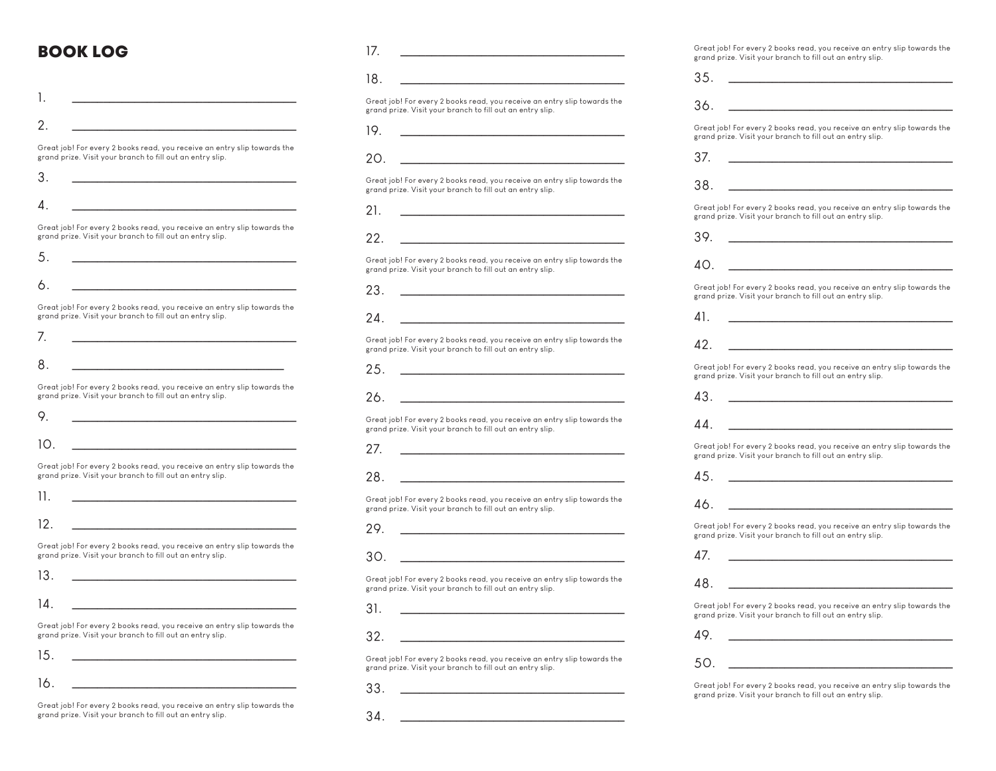### BOOK LOG

| 1.                                                                                                                                    |  |
|---------------------------------------------------------------------------------------------------------------------------------------|--|
| 2.                                                                                                                                    |  |
| Great job! For every 2 books read, you receive an entry slip towards the<br>grand prize. Visit your branch to fill out an entry slip. |  |
| 3.                                                                                                                                    |  |
| 4                                                                                                                                     |  |
| Great job! For every 2 books read, you receive an entry slip towards the<br>grand prize. Visit your branch to fill out an entry slip. |  |
| 5.                                                                                                                                    |  |
| 6.                                                                                                                                    |  |
| Great job! For every 2 books read, you receive an entry slip towards the<br>grand prize. Visit your branch to fill out an entry slip. |  |
| 7.                                                                                                                                    |  |
| 8.                                                                                                                                    |  |
| Great job! For every 2 books read, you receive an entry slip towards the<br>grand prize. Visit your branch to fill out an entry slip. |  |
| 9.                                                                                                                                    |  |
| 10.                                                                                                                                   |  |
| Great job! For every 2 books read, you receive an entry slip towards the<br>grand prize. Visit your branch to fill out an entry slip. |  |
| 11.                                                                                                                                   |  |
| 12.                                                                                                                                   |  |
| Great job! For every 2 books read, you receive an entry slip towards the<br>grand prize. Visit your branch to fill out an entry slip. |  |
| 13.                                                                                                                                   |  |
| 14                                                                                                                                    |  |
| Great job! For every 2 books read, you receive an entry slip towards the<br>grand prize. Visit your branch to fill out an entry slip. |  |
| 15.                                                                                                                                   |  |
| 16.                                                                                                                                   |  |

Great job! For every 2 books read, you receive an entry slip towards the grand prize. Visit your branch to fill out an entry slip.

| 17. |                                                                                                                                       |
|-----|---------------------------------------------------------------------------------------------------------------------------------------|
| 18. |                                                                                                                                       |
|     | Great job! For every 2 books read, you receive an entry slip towards the<br>grand prize. Visit your branch to fill out an entry slip. |
| 19. | <u> 1989 - Andrea Station Books, amerikansk fotballst</u>                                                                             |
| 20. | the control of the control of the control of                                                                                          |
|     | Great job! For every 2 books read, you receive an entry slip towards the<br>grand prize. Visit your branch to fill out an entry slip. |
| 21. |                                                                                                                                       |
| 22. |                                                                                                                                       |
|     | Great job! For every 2 books read, you receive an entry slip towards the<br>grand prize. Visit your branch to fill out an entry slip. |
| 23. |                                                                                                                                       |
| 2Δ  |                                                                                                                                       |
|     | Great job! For every 2 books read, you receive an entry slip towards the<br>grand prize. Visit your branch to fill out an entry slip. |
| 25. | the control of the control of the control of the control of                                                                           |
| 26. | <u> 1980 - John Stein, mars and de Branch</u>                                                                                         |
|     | Great job! For every 2 books read, you receive an entry slip towards the<br>grand prize. Visit your branch to fill out an entry slip. |
| 27. |                                                                                                                                       |

28. \_\_\_\_\_\_\_\_\_\_\_\_\_\_\_\_\_\_\_\_\_\_\_\_\_\_\_\_\_\_\_\_\_\_\_\_

Great job! For every 2 books read, you receive an entry slip towards the grand prize. Visit your branch to fill out an entry slip.

- 29. \_\_\_\_\_\_\_\_\_\_\_\_\_\_\_\_\_\_\_\_\_\_\_\_\_\_\_\_\_\_\_\_\_\_\_\_
- 30. \_\_\_\_\_\_\_\_\_\_\_\_\_\_\_\_\_\_\_\_\_\_\_\_\_\_\_\_\_\_\_\_\_\_\_\_

Great job! For every 2 books read, you receive an entry slip towards the grand prize. Visit your branch to fill out an entry slip.

- 31. \_\_\_\_\_\_\_\_\_\_\_\_\_\_\_\_\_\_\_\_\_\_\_\_\_\_\_\_\_\_\_\_\_\_\_\_
- 32. \_\_\_\_\_\_\_\_\_\_\_\_\_\_\_\_\_\_\_\_\_\_\_\_\_\_\_\_\_\_\_\_\_\_\_\_

Great job! For every 2 books read, you receive an entry slip towards the grand prize. Visit your branch to fill out an entry slip.

33. \_\_\_\_\_\_\_\_\_\_\_\_\_\_\_\_\_\_\_\_\_\_\_\_\_\_\_\_\_\_\_\_\_\_\_\_

34. \_\_\_\_\_\_\_\_\_\_\_\_\_\_\_\_\_\_\_\_\_\_\_\_\_\_\_\_\_\_\_\_\_\_\_\_

Great job! For every 2 books read, you receive an entry slip towards the grand prize. Visit your branch to fill out an entry slip.

| 35.                                                                                                                                   |
|---------------------------------------------------------------------------------------------------------------------------------------|
| 36.                                                                                                                                   |
| Great job! For every 2 books read, you receive an entry slip towards the<br>grand prize. Visit your branch to fill out an entry slip. |
| 37.                                                                                                                                   |
| 38.                                                                                                                                   |
| Great job! For every 2 books read, you receive an entry slip towards the<br>grand prize. Visit your branch to fill out an entry slip. |
| 39.                                                                                                                                   |
| 40.                                                                                                                                   |
| Great job! For every 2 books read, you receive an entry slip towards the<br>grand prize. Visit your branch to fill out an entry slip. |
| 41.                                                                                                                                   |
| 42.                                                                                                                                   |
| Great job! For every 2 books read, you receive an entry slip towards the<br>grand prize. Visit your branch to fill out an entry slip. |
| 43.                                                                                                                                   |
| 44.                                                                                                                                   |
| Great job! For every 2 books read, you receive an entry slip towards the<br>grand prize. Visit your branch to fill out an entry slip. |
| 45.                                                                                                                                   |
| 46.                                                                                                                                   |
| Great job! For every 2 books read, you receive an entry slip towards the<br>grand prize. Visit your branch to fill out an entry slip. |
| 47.                                                                                                                                   |
| 48.                                                                                                                                   |
| Great job! For every 2 books read, you receive an entry slip towards the<br>grand prize. Visit your branch to fill out an entry slip. |
| 49.                                                                                                                                   |
| 50.                                                                                                                                   |
|                                                                                                                                       |

Great job! For every 2 books read, you receive an entry slip towards the grand prize. Visit your branch to fill out an entry slip.